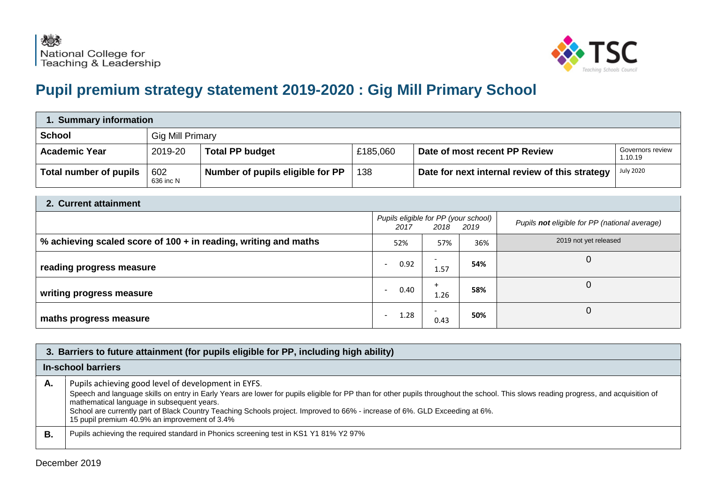

## **Pupil premium strategy statement 2019-2020 : Gig Mill Primary School**

| 1. Summary information |                         |                                  |          |                                                |                                    |  |
|------------------------|-------------------------|----------------------------------|----------|------------------------------------------------|------------------------------------|--|
| <b>School</b>          | <b>Gig Mill Primary</b> |                                  |          |                                                |                                    |  |
| <b>Academic Year</b>   | 2019-20                 | <b>Total PP budget</b>           | £185,060 | Date of most recent PP Review                  | <b>Governors review</b><br>1.10.19 |  |
| Total number of pupils | 602<br>636 inc N        | Number of pupils eligible for PP | 138      | Date for next internal review of this strategy | <b>July 2020</b>                   |  |

| 2. Current attainment                                           |                                                           |                                  |     |                                               |  |
|-----------------------------------------------------------------|-----------------------------------------------------------|----------------------------------|-----|-----------------------------------------------|--|
|                                                                 | Pupils eligible for PP (your school)<br>2018 2019<br>2017 |                                  |     | Pupils not eligible for PP (national average) |  |
| % achieving scaled score of 100 + in reading, writing and maths | 52%                                                       | 57%                              | 36% | 2019 not yet released                         |  |
| reading progress measure                                        | 0.92                                                      | 1.57                             | 54% |                                               |  |
| writing progress measure                                        | 0.40<br>$\overline{\phantom{a}}$                          | $+$<br>1.26                      | 58% |                                               |  |
| maths progress measure                                          | 1.28                                                      | $\overline{\phantom{0}}$<br>0.43 | 50% |                                               |  |

|    | 3. Barriers to future attainment (for pupils eligible for PP, including high ability)                                                                                                                                                                                                                                                                                                                                                                                     |  |  |  |  |
|----|---------------------------------------------------------------------------------------------------------------------------------------------------------------------------------------------------------------------------------------------------------------------------------------------------------------------------------------------------------------------------------------------------------------------------------------------------------------------------|--|--|--|--|
|    | In-school barriers                                                                                                                                                                                                                                                                                                                                                                                                                                                        |  |  |  |  |
| Α. | Pupils achieving good level of development in EYFS.<br>Speech and language skills on entry in Early Years are lower for pupils eligible for PP than for other pupils throughout the school. This slows reading progress, and acquisition of<br>mathematical language in subsequent years.<br>School are currently part of Black Country Teaching Schools project. Improved to 66% - increase of 6%. GLD Exceeding at 6%.<br>15 pupil premium 40.9% an improvement of 3.4% |  |  |  |  |
| В. | Pupils achieving the required standard in Phonics screening test in KS1 Y1 81% Y2 97%                                                                                                                                                                                                                                                                                                                                                                                     |  |  |  |  |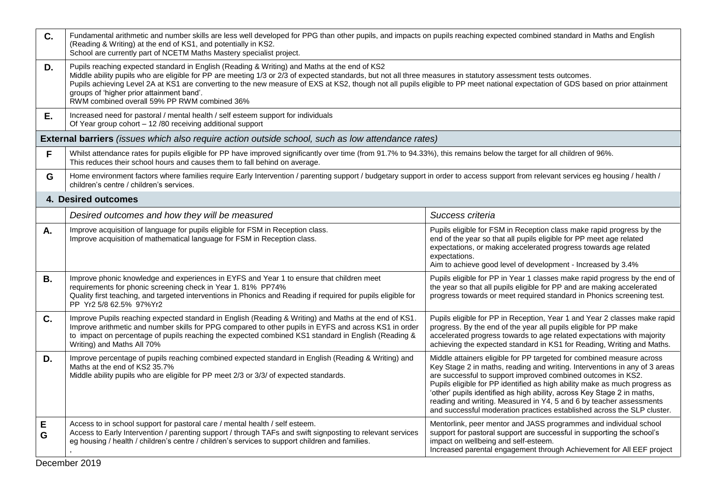| C.        | Fundamental arithmetic and number skills are less well developed for PPG than other pupils, and impacts on pupils reaching expected combined standard in Maths and English<br>(Reading & Writing) at the end of KS1, and potentially in KS2.<br>School are currently part of NCETM Maths Mastery specialist project.                                                                                                                                                                                                                             |                                                                                                                                                                                                                                                                                                                                                                                                                                                                                                                                |  |  |  |  |  |
|-----------|--------------------------------------------------------------------------------------------------------------------------------------------------------------------------------------------------------------------------------------------------------------------------------------------------------------------------------------------------------------------------------------------------------------------------------------------------------------------------------------------------------------------------------------------------|--------------------------------------------------------------------------------------------------------------------------------------------------------------------------------------------------------------------------------------------------------------------------------------------------------------------------------------------------------------------------------------------------------------------------------------------------------------------------------------------------------------------------------|--|--|--|--|--|
| D.        | Pupils reaching expected standard in English (Reading & Writing) and Maths at the end of KS2<br>Middle ability pupils who are eligible for PP are meeting 1/3 or 2/3 of expected standards, but not all three measures in statutory assessment tests outcomes.<br>Pupils achieving Level 2A at KS1 are converting to the new measure of EXS at KS2, though not all pupils eligible to PP meet national expectation of GDS based on prior attainment<br>groups of 'higher prior attainment band'.<br>RWM combined overall 59% PP RWM combined 36% |                                                                                                                                                                                                                                                                                                                                                                                                                                                                                                                                |  |  |  |  |  |
| Е.        | Increased need for pastoral / mental health / self esteem support for individuals<br>Of Year group cohort - 12 /80 receiving additional support                                                                                                                                                                                                                                                                                                                                                                                                  |                                                                                                                                                                                                                                                                                                                                                                                                                                                                                                                                |  |  |  |  |  |
|           | <b>External barriers</b> (issues which also require action outside school, such as low attendance rates)                                                                                                                                                                                                                                                                                                                                                                                                                                         |                                                                                                                                                                                                                                                                                                                                                                                                                                                                                                                                |  |  |  |  |  |
| F         | Whilst attendance rates for pupils eligible for PP have improved significantly over time (from 91.7% to 94.33%), this remains below the target for all children of 96%.<br>This reduces their school hours and causes them to fall behind on average.                                                                                                                                                                                                                                                                                            |                                                                                                                                                                                                                                                                                                                                                                                                                                                                                                                                |  |  |  |  |  |
| G         | Home environment factors where families require Early Intervention / parenting support / budgetary support in order to access support from relevant services eg housing / health /<br>children's centre / children's services.                                                                                                                                                                                                                                                                                                                   |                                                                                                                                                                                                                                                                                                                                                                                                                                                                                                                                |  |  |  |  |  |
|           | 4. Desired outcomes                                                                                                                                                                                                                                                                                                                                                                                                                                                                                                                              |                                                                                                                                                                                                                                                                                                                                                                                                                                                                                                                                |  |  |  |  |  |
|           | Desired outcomes and how they will be measured<br>Success criteria                                                                                                                                                                                                                                                                                                                                                                                                                                                                               |                                                                                                                                                                                                                                                                                                                                                                                                                                                                                                                                |  |  |  |  |  |
| А.        | Improve acquisition of language for pupils eligible for FSM in Reception class.<br>Improve acquisition of mathematical language for FSM in Reception class.                                                                                                                                                                                                                                                                                                                                                                                      | Pupils eligible for FSM in Reception class make rapid progress by the<br>end of the year so that all pupils eligible for PP meet age related<br>expectations, or making accelerated progress towards age related<br>expectations.<br>Aim to achieve good level of development - Increased by 3.4%                                                                                                                                                                                                                              |  |  |  |  |  |
| <b>B.</b> | Improve phonic knowledge and experiences in EYFS and Year 1 to ensure that children meet<br>requirements for phonic screening check in Year 1.81% PP74%<br>Quality first teaching, and targeted interventions in Phonics and Reading if required for pupils eligible for<br>PP Yr2 5/8 62.5% 97% Yr2                                                                                                                                                                                                                                             | Pupils eligible for PP in Year 1 classes make rapid progress by the end of<br>the year so that all pupils eligible for PP and are making accelerated<br>progress towards or meet required standard in Phonics screening test.                                                                                                                                                                                                                                                                                                  |  |  |  |  |  |
| C.        | Improve Pupils reaching expected standard in English (Reading & Writing) and Maths at the end of KS1.<br>Improve arithmetic and number skills for PPG compared to other pupils in EYFS and across KS1 in order<br>to impact on percentage of pupils reaching the expected combined KS1 standard in English (Reading &<br>Writing) and Maths All 70%                                                                                                                                                                                              | Pupils eligible for PP in Reception, Year 1 and Year 2 classes make rapid<br>progress. By the end of the year all pupils eligible for PP make<br>accelerated progress towards to age related expectations with majority<br>achieving the expected standard in KS1 for Reading, Writing and Maths.                                                                                                                                                                                                                              |  |  |  |  |  |
| D.        | Improve percentage of pupils reaching combined expected standard in English (Reading & Writing) and<br>Maths at the end of KS2 35.7%<br>Middle ability pupils who are eligible for PP meet 2/3 or 3/3/ of expected standards.                                                                                                                                                                                                                                                                                                                    | Middle attainers eligible for PP targeted for combined measure across<br>Key Stage 2 in maths, reading and writing. Interventions in any of 3 areas<br>are successful to support improved combined outcomes in KS2.<br>Pupils eligible for PP identified as high ability make as much progress as<br>'other' pupils identified as high ability, across Key Stage 2 in maths,<br>reading and writing. Measured in Y4, 5 and 6 by teacher assessments<br>and successful moderation practices established across the SLP cluster. |  |  |  |  |  |
| Е<br>G    | Access to in school support for pastoral care / mental health / self esteem.<br>Access to Early Intervention / parenting support / through TAFs and swift signposting to relevant services<br>eg housing / health / children's centre / children's services to support children and families.                                                                                                                                                                                                                                                    | Mentorlink, peer mentor and JASS programmes and individual school<br>support for pastoral support are successful in supporting the school's<br>impact on wellbeing and self-esteem.<br>Increased parental engagement through Achievement for All EEF project                                                                                                                                                                                                                                                                   |  |  |  |  |  |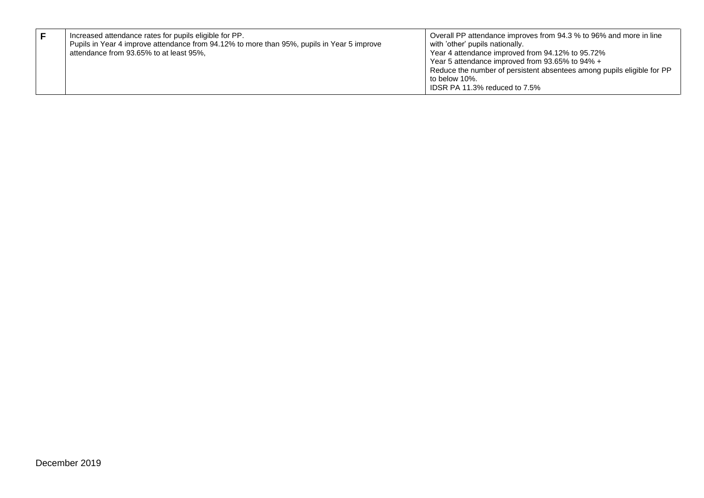|  | Increased attendance rates for pupils eligible for PP.<br>Pupils in Year 4 improve attendance from 94.12% to more than 95%, pupils in Year 5 improve<br>attendance from 93.65% to at least 95%, | Overall PP attendance improves from 94.3 % to 96% and more in line<br>with 'other' pupils nationally.<br>Year 4 attendance improved from 94.12% to 95.72%<br>Year 5 attendance improved from 93.65% to 94% +<br>Reduce the number of persistent absentees among pupils eligible for PP<br>to below 10%.<br>IDSR PA 11.3% reduced to 7.5% |
|--|-------------------------------------------------------------------------------------------------------------------------------------------------------------------------------------------------|------------------------------------------------------------------------------------------------------------------------------------------------------------------------------------------------------------------------------------------------------------------------------------------------------------------------------------------|
|--|-------------------------------------------------------------------------------------------------------------------------------------------------------------------------------------------------|------------------------------------------------------------------------------------------------------------------------------------------------------------------------------------------------------------------------------------------------------------------------------------------------------------------------------------------|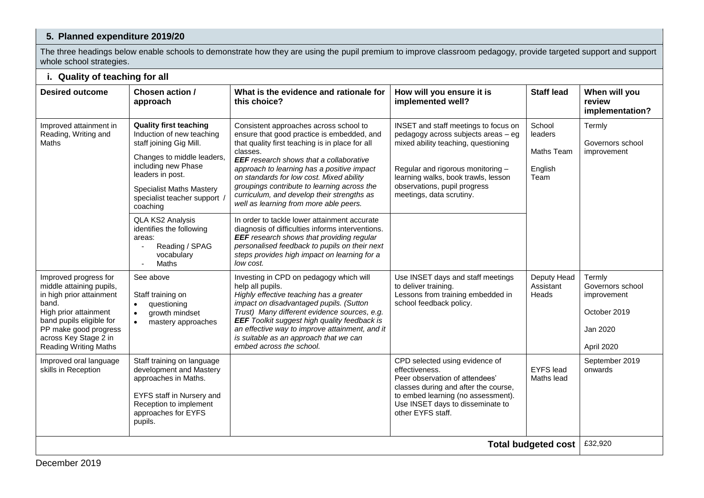## **5. Planned expenditure 2019/20**

The three headings below enable schools to demonstrate how they are using the pupil premium to improve classroom pedagogy, provide targeted support and support whole school strategies.

## **i. Quality of teaching for all**

| <b>Desired outcome</b>                                                                                                                                                                                                        | <b>Staff lead</b><br>Chosen action /<br>When will you<br>What is the evidence and rationale for<br>How will you ensure it is                                                                                                                                                                                                                   |                                                                                                                                                                                                                                                                                                                                                                                                                                                                                                                                                                                                                                                                                                              |                                                                                                                                                                                                                                                            |                                                           |                                                                                     |  |  |  |
|-------------------------------------------------------------------------------------------------------------------------------------------------------------------------------------------------------------------------------|------------------------------------------------------------------------------------------------------------------------------------------------------------------------------------------------------------------------------------------------------------------------------------------------------------------------------------------------|--------------------------------------------------------------------------------------------------------------------------------------------------------------------------------------------------------------------------------------------------------------------------------------------------------------------------------------------------------------------------------------------------------------------------------------------------------------------------------------------------------------------------------------------------------------------------------------------------------------------------------------------------------------------------------------------------------------|------------------------------------------------------------------------------------------------------------------------------------------------------------------------------------------------------------------------------------------------------------|-----------------------------------------------------------|-------------------------------------------------------------------------------------|--|--|--|
|                                                                                                                                                                                                                               | approach                                                                                                                                                                                                                                                                                                                                       | this choice?                                                                                                                                                                                                                                                                                                                                                                                                                                                                                                                                                                                                                                                                                                 | implemented well?                                                                                                                                                                                                                                          |                                                           | review<br>implementation?                                                           |  |  |  |
| Improved attainment in<br>Reading, Writing and<br>Maths                                                                                                                                                                       | <b>Quality first teaching</b><br>Induction of new teaching<br>staff joining Gig Mill.<br>Changes to middle leaders,<br>including new Phase<br>leaders in post.<br><b>Specialist Maths Mastery</b><br>specialist teacher support<br>coaching<br>QLA KS2 Analysis<br>identifies the following<br>areas:<br>Reading / SPAG<br>vocabulary<br>Maths | Consistent approaches across school to<br>ensure that good practice is embedded, and<br>that quality first teaching is in place for all<br>classes.<br><b>EEF</b> research shows that a collaborative<br>approach to learning has a positive impact<br>on standards for low cost. Mixed ability<br>groupings contribute to learning across the<br>curriculum, and develop their strengths as<br>well as learning from more able peers.<br>In order to tackle lower attainment accurate<br>diagnosis of difficulties informs interventions.<br><b>EEF</b> research shows that providing regular<br>personalised feedback to pupils on their next<br>steps provides high impact on learning for a<br>low cost. | INSET and staff meetings to focus on<br>pedagogy across subjects areas - eg<br>mixed ability teaching, questioning<br>Regular and rigorous monitoring -<br>learning walks, book trawls, lesson<br>observations, pupil progress<br>meetings, data scrutiny. | School<br>leaders<br><b>Maths Team</b><br>English<br>Team | Termly<br>Governors school<br>improvement                                           |  |  |  |
| Improved progress for<br>middle attaining pupils,<br>in high prior attainment<br>band.<br>High prior attainment<br>band pupils eligible for<br>PP make good progress<br>across Key Stage 2 in<br><b>Reading Writing Maths</b> | See above<br>Staff training on<br>questioning<br>$\bullet$<br>growth mindset<br>mastery approaches<br>$\bullet$                                                                                                                                                                                                                                | Investing in CPD on pedagogy which will<br>help all pupils.<br>Highly effective teaching has a greater<br>impact on disadvantaged pupils. (Sutton<br>Trust) Many different evidence sources, e.g.<br><b>EEF</b> Toolkit suggest high quality feedback is<br>an effective way to improve attainment, and it<br>is suitable as an approach that we can<br>embed across the school.                                                                                                                                                                                                                                                                                                                             | Use INSET days and staff meetings<br>to deliver training.<br>Lessons from training embedded in<br>school feedback policy.                                                                                                                                  | Deputy Head<br>Assistant<br>Heads                         | Termly<br>Governors school<br>improvement<br>October 2019<br>Jan 2020<br>April 2020 |  |  |  |
| Improved oral language<br>skills in Reception                                                                                                                                                                                 | Staff training on language<br>development and Mastery<br>approaches in Maths.<br>EYFS staff in Nursery and<br>Reception to implement<br>approaches for EYFS<br>pupils.                                                                                                                                                                         |                                                                                                                                                                                                                                                                                                                                                                                                                                                                                                                                                                                                                                                                                                              | CPD selected using evidence of<br>effectiveness.<br>Peer observation of attendees'<br>classes during and after the course,<br>to embed learning (no assessment).<br>Use INSET days to disseminate to<br>other EYFS staff.                                  | <b>EYFS</b> lead<br>Maths lead                            | September 2019<br>onwards                                                           |  |  |  |
| <b>Total budgeted cost</b>                                                                                                                                                                                                    |                                                                                                                                                                                                                                                                                                                                                |                                                                                                                                                                                                                                                                                                                                                                                                                                                                                                                                                                                                                                                                                                              |                                                                                                                                                                                                                                                            |                                                           |                                                                                     |  |  |  |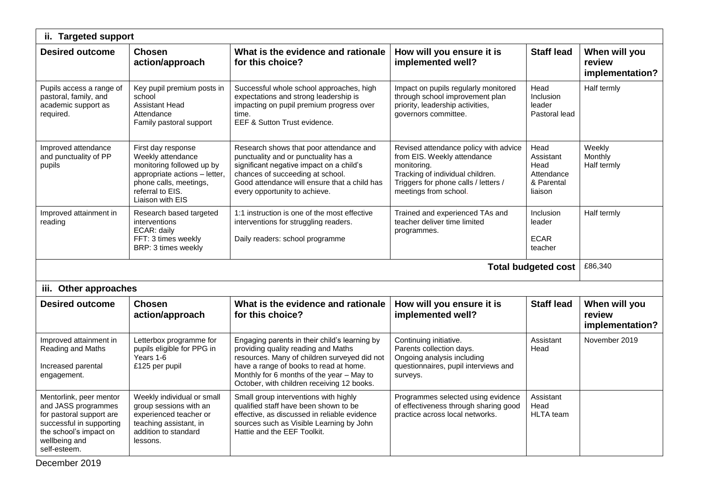| ii. Targeted support                                                                                                                                              |                                                                                                                                                                         |                                                                                                                                                                                                                                                                           |                                                                                                                                                                                          |                                                                  |                                            |  |  |
|-------------------------------------------------------------------------------------------------------------------------------------------------------------------|-------------------------------------------------------------------------------------------------------------------------------------------------------------------------|---------------------------------------------------------------------------------------------------------------------------------------------------------------------------------------------------------------------------------------------------------------------------|------------------------------------------------------------------------------------------------------------------------------------------------------------------------------------------|------------------------------------------------------------------|--------------------------------------------|--|--|
| <b>Desired outcome</b><br><b>Chosen</b><br>action/approach                                                                                                        |                                                                                                                                                                         | What is the evidence and rationale<br>for this choice?                                                                                                                                                                                                                    | How will you ensure it is<br>implemented well?                                                                                                                                           | <b>Staff lead</b>                                                | When will you<br>review<br>implementation? |  |  |
| Pupils access a range of<br>pastoral, family, and<br>academic support as<br>required.                                                                             | Key pupil premium posts in<br>school<br><b>Assistant Head</b><br>Attendance<br>Family pastoral support                                                                  | Successful whole school approaches, high<br>expectations and strong leadership is<br>impacting on pupil premium progress over<br>time.<br>EEF & Sutton Trust evidence.                                                                                                    | Impact on pupils regularly monitored<br>through school improvement plan<br>priority, leadership activities,<br>governors committee.                                                      | Head<br>Inclusion<br>leader<br>Pastoral lead                     | Half termly                                |  |  |
| Improved attendance<br>and punctuality of PP<br>pupils                                                                                                            | First day response<br>Weekly attendance<br>monitoring followed up by<br>appropriate actions - letter,<br>phone calls, meetings,<br>referral to EIS.<br>Liaison with EIS | Research shows that poor attendance and<br>punctuality and or punctuality has a<br>significant negative impact on a child's<br>chances of succeeding at school.<br>Good attendance will ensure that a child has<br>every opportunity to achieve.                          | Revised attendance policy with advice<br>from EIS. Weekly attendance<br>monitoring.<br>Tracking of individual children.<br>Triggers for phone calls / letters /<br>meetings from school. | Head<br>Assistant<br>Head<br>Attendance<br>& Parental<br>liaison | Weekly<br>Monthly<br>Half termly           |  |  |
| Improved attainment in<br>reading                                                                                                                                 | Research based targeted<br>interventions<br>ECAR: daily<br>FFT: 3 times weekly<br>BRP: 3 times weekly                                                                   | 1:1 instruction is one of the most effective<br>interventions for struggling readers.<br>Daily readers: school programme                                                                                                                                                  | Trained and experienced TAs and<br>teacher deliver time limited<br>programmes.                                                                                                           | Inclusion<br>leader<br><b>ECAR</b><br>teacher                    | Half termly                                |  |  |
| <b>Total budgeted cost</b>                                                                                                                                        |                                                                                                                                                                         |                                                                                                                                                                                                                                                                           |                                                                                                                                                                                          |                                                                  |                                            |  |  |
| iii. Other approaches                                                                                                                                             |                                                                                                                                                                         |                                                                                                                                                                                                                                                                           |                                                                                                                                                                                          |                                                                  |                                            |  |  |
| <b>Desired outcome</b>                                                                                                                                            | <b>Chosen</b><br>action/approach                                                                                                                                        | What is the evidence and rationale<br>for this choice?                                                                                                                                                                                                                    | How will you ensure it is<br>implemented well?                                                                                                                                           | <b>Staff lead</b>                                                | When will you<br>review<br>implementation? |  |  |
| Improved attainment in<br>Reading and Maths<br>Increased parental<br>engagement.                                                                                  | Letterbox programme for<br>pupils eligible for PPG in<br>Years 1-6<br>£125 per pupil                                                                                    | Engaging parents in their child's learning by<br>providing quality reading and Maths<br>resources. Many of children surveyed did not<br>have a range of books to read at home.<br>Monthly for 6 months of the year - May to<br>October, with children receiving 12 books. | Continuing initiative.<br>Parents collection days.<br>Ongoing analysis including<br>questionnaires, pupil interviews and<br>surveys.                                                     | Assistant<br>Head                                                | November 2019                              |  |  |
| Mentorlink, peer mentor<br>and JASS programmes<br>for pastoral support are<br>successful in supporting<br>the school's impact on<br>wellbeing and<br>self-esteem. | Weekly individual or small<br>group sessions with an<br>experienced teacher or<br>teaching assistant, in<br>addition to standard<br>lessons.                            | Small group interventions with highly<br>qualified staff have been shown to be<br>effective, as discussed in reliable evidence<br>sources such as Visible Learning by John<br>Hattie and the EEF Toolkit.                                                                 | Programmes selected using evidence<br>of effectiveness through sharing good<br>practice across local networks.                                                                           | Assistant<br>Head<br><b>HLTA</b> team                            |                                            |  |  |

December 2019